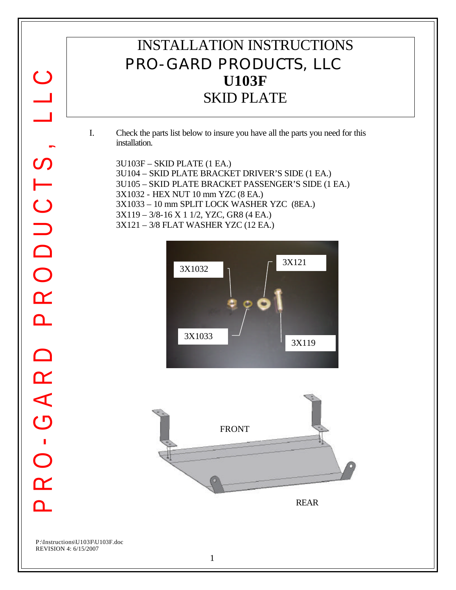## INSTALLATION INSTRUCTIONS PRO-GARD PRODUCTS, LLC **U103F** SKID PLATE

- I. Check the parts list below to insure you have all the parts you need for this installation.
	- 3U103F SKID PLATE (1 EA.) 3U104 – SKID PLATE BRACKET DRIVER'S SIDE (1 EA.) 3U105 – SKID PLATE BRACKET PASSENGER'S SIDE (1 EA.) 3X1032 - HEX NUT 10 mm YZC (8 EA.) 3X1033 – 10 mm SPLIT LOCK WASHER YZC (8EA.) 3X119 – 3/8-16 X 1 1/2, YZC, GR8 (4 EA.) 3X121 – 3/8 FLAT WASHER YZC (12 EA.)







 $\bigcirc$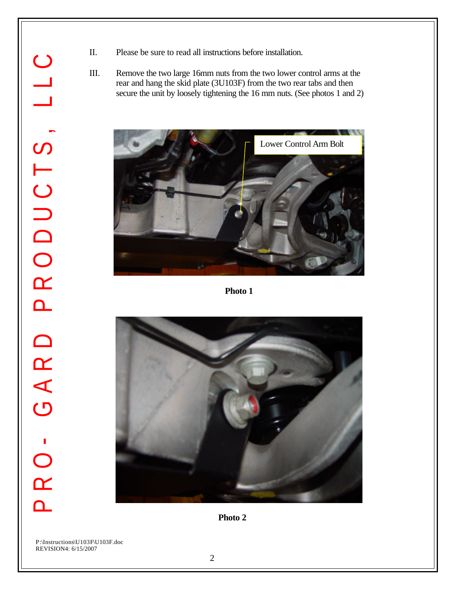- PRO- GARD PRODUCTS, LLC  $\bigcirc$  $\overline{\phantom{0}}$ PRODUCTS, GARD PRO-
- II. Please be sure to read all instructions before installation.
- III. Remove the two large 16mm nuts from the two lower control arms at the rear and hang the skid plate (3U103F) from the two rear tabs and then secure the unit by loosely tightening the 16 mm nuts. (See photos 1 and 2)



**Photo 1**



**Photo 2**

P:\Instructions\U103F\U103F.doc REVISION4: 6/15/2007